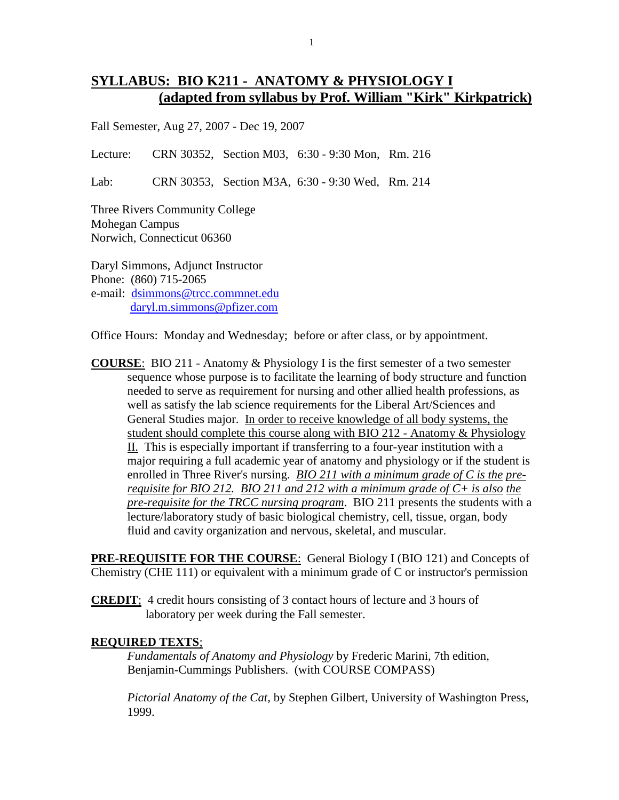## **SYLLABUS: BIO K211 - ANATOMY & PHYSIOLOGY I (adapted from syllabus by Prof. William "Kirk" Kirkpatrick)**

Fall Semester, Aug 27, 2007 - Dec 19, 2007

Lecture: CRN 30352, Section M03, 6:30 - 9:30 Mon, Rm. 216

Lab: CRN 30353, Section M3A, 6:30 - 9:30 Wed, Rm. 214

Three Rivers Community College Mohegan Campus Norwich, Connecticut 06360

Daryl Simmons, Adjunct Instructor Phone: (860) 715-2065 e-mail: [dsimmons@trcc.commnet.edu](mailto:dsimmons@trcc.commnet.edu) [daryl.m.simmons@pfizer.com](mailto:daryl.m.simmons@pfizer.com)

Office Hours: Monday and Wednesday; before or after class, or by appointment.

**COURSE**: BIO 211 - Anatomy & Physiology I is the first semester of a two semester sequence whose purpose is to facilitate the learning of body structure and function needed to serve as requirement for nursing and other allied health professions, as well as satisfy the lab science requirements for the Liberal Art/Sciences and General Studies major. In order to receive knowledge of all body systems, the student should complete this course along with BIO 212 - Anatomy & Physiology II. This is especially important if transferring to a four-year institution with a major requiring a full academic year of anatomy and physiology or if the student is enrolled in Three River's nursing. *BIO 211 with a minimum grade of C is the prerequisite for BIO 212. BIO 211 and 212 with a minimum grade of C+ is also the pre-requisite for the TRCC nursing program*. BIO 211 presents the students with a lecture/laboratory study of basic biological chemistry, cell, tissue, organ, body fluid and cavity organization and nervous, skeletal, and muscular.

**PRE-REQUISITE FOR THE COURSE**: General Biology I (BIO 121) and Concepts of Chemistry (CHE 111) or equivalent with a minimum grade of C or instructor's permission

**CREDIT**; 4 credit hours consisting of 3 contact hours of lecture and 3 hours of laboratory per week during the Fall semester.

#### **REQUIRED TEXTS**;

*Fundamentals of Anatomy and Physiology* by Frederic Marini, 7th edition, Benjamin-Cummings Publishers. (with COURSE COMPASS)

*Pictorial Anatomy of the Cat,* by Stephen Gilbert, University of Washington Press, 1999.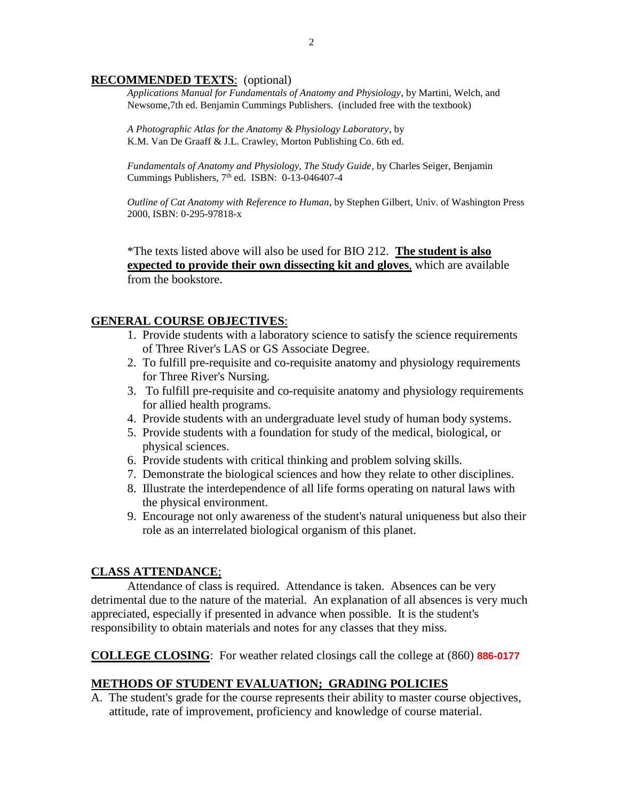#### **RECOMMENDED TEXTS**: (optional)

*Applications Manual for Fundamentals of Anatomy and Physiology*, by Martini, Welch, and Newsome,7th ed. Benjamin Cummings Publishers. (included free with the textbook)

*A Photographic Atlas for the Anatomy & Physiology Laboratory*, by K.M. Van De Graaff & J.L. Crawley, Morton Publishing Co. 6th ed.

*Fundamentals of Anatomy and Physiology, The Study Guide*, by Charles Seiger, Benjamin Cummings Publishers,  $7<sup>th</sup>$  ed. ISBN: 0-13-046407-4

*Outline of Cat Anatomy with Reference to Human*, by Stephen Gilbert, Univ. of Washington Press 2000, ISBN: 0-295-97818-x

\*The texts listed above will also be used for BIO 212. **The student is also expected to provide their own dissecting kit and gloves**, which are available from the bookstore.

#### **GENERAL COURSE OBJECTIVES**:

- 1. Provide students with a laboratory science to satisfy the science requirements of Three River's LAS or GS Associate Degree.
- 2. To fulfill pre-requisite and co-requisite anatomy and physiology requirements for Three River's Nursing.
- 3. To fulfill pre-requisite and co-requisite anatomy and physiology requirements for allied health programs.
- 4. Provide students with an undergraduate level study of human body systems.
- 5. Provide students with a foundation for study of the medical, biological, or physical sciences.
- 6. Provide students with critical thinking and problem solving skills.
- 7. Demonstrate the biological sciences and how they relate to other disciplines.
- 8. Illustrate the interdependence of all life forms operating on natural laws with the physical environment.
- 9. Encourage not only awareness of the student's natural uniqueness but also their role as an interrelated biological organism of this planet.

#### **CLASS ATTENDANCE**;

Attendance of class is required. Attendance is taken. Absences can be very detrimental due to the nature of the material. An explanation of all absences is very much appreciated, especially if presented in advance when possible. It is the student's responsibility to obtain materials and notes for any classes that they miss.

**COLLEGE CLOSING**: For weather related closings call the college at (860) **886-0177**

#### **METHODS OF STUDENT EVALUATION; GRADING POLICIES**

A. The student's grade for the course represents their ability to master course objectives, attitude, rate of improvement, proficiency and knowledge of course material.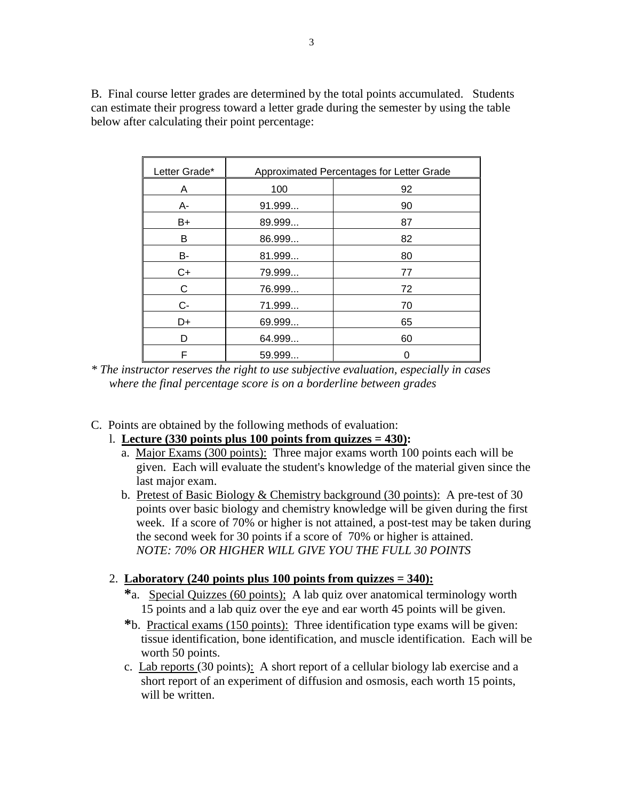B. Final course letter grades are determined by the total points accumulated. Students can estimate their progress toward a letter grade during the semester by using the table below after calculating their point percentage:

| Letter Grade* | Approximated Percentages for Letter Grade |    |
|---------------|-------------------------------------------|----|
| A             | 100                                       | 92 |
| А-            | 91.999                                    | 90 |
| B+            | 89.999                                    | 87 |
| B             | 86.999                                    | 82 |
| B-            | 81.999                                    | 80 |
| C+            | 79.999                                    | 77 |
| С             | 76.999                                    | 72 |
| $C -$         | 71.999                                    | 70 |
| D+            | 69.999                                    | 65 |
| D             | 64.999                                    | 60 |
| F             | 59.999                                    | 0  |

*\* The instructor reserves the right to use subjective evaluation, especially in cases where the final percentage score is on a borderline between grades*

- C. Points are obtained by the following methods of evaluation:
	- l. **Lecture (330 points plus 100 points from quizzes = 430):**
		- a. Major Exams (300 points): Three major exams worth 100 points each will be given. Each will evaluate the student's knowledge of the material given since the last major exam.
		- b. Pretest of Basic Biology & Chemistry background (30 points): A pre-test of 30 points over basic biology and chemistry knowledge will be given during the first week. If a score of 70% or higher is not attained, a post-test may be taken during the second week for 30 points if a score of 70% or higher is attained. *NOTE: 70% OR HIGHER WILL GIVE YOU THE FULL 30 POINTS*

#### 2. **Laboratory (240 points plus 100 points from quizzes = 340):**

- **\***a. Special Quizzes (60 points); A lab quiz over anatomical terminology worth 15 points and a lab quiz over the eye and ear worth 45 points will be given.
- **\***b. Practical exams (150 points): Three identification type exams will be given: tissue identification, bone identification, and muscle identification. Each will be worth 50 points.
- c. Lab reports (30 points): A short report of a cellular biology lab exercise and a short report of an experiment of diffusion and osmosis, each worth 15 points, will be written.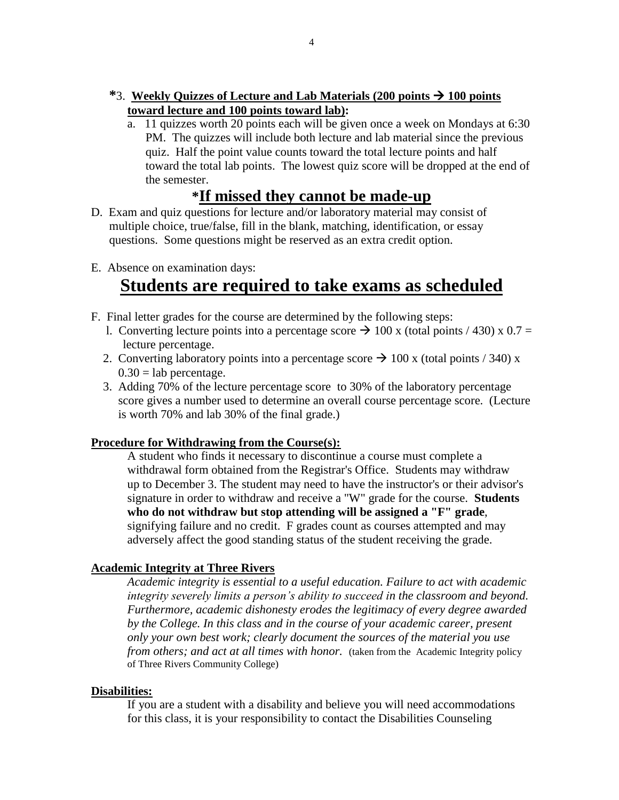- **\***3. **Weekly Quizzes of Lecture and Lab Materials (200 points 100 points toward lecture and 100 points toward lab):**
	- a. 11 quizzes worth 20 points each will be given once a week on Mondays at 6:30 PM. The quizzes will include both lecture and lab material since the previous quiz. Half the point value counts toward the total lecture points and half toward the total lab points. The lowest quiz score will be dropped at the end of the semester.

## **\*If missed they cannot be made-up**

- D. Exam and quiz questions for lecture and/or laboratory material may consist of multiple choice, true/false, fill in the blank, matching, identification, or essay questions. Some questions might be reserved as an extra credit option.
- E. Absence on examination days:

## **Students are required to take exams as scheduled**

- F. Final letter grades for the course are determined by the following steps:
	- l. Converting lecture points into a percentage score  $\rightarrow$  100 x (total points / 430) x 0.7 = lecture percentage.
	- 2. Converting laboratory points into a percentage score  $\rightarrow$  100 x (total points / 340) x  $0.30 =$ lab percentage.
	- 3. Adding 70% of the lecture percentage score to 30% of the laboratory percentage score gives a number used to determine an overall course percentage score. (Lecture is worth 70% and lab 30% of the final grade.)

#### **Procedure for Withdrawing from the Course(s):**

A student who finds it necessary to discontinue a course must complete a withdrawal form obtained from the Registrar's Office. Students may withdraw up to December 3. The student may need to have the instructor's or their advisor's signature in order to withdraw and receive a "W" grade for the course. **Students who do not withdraw but stop attending will be assigned a "F" grade**, signifying failure and no credit. F grades count as courses attempted and may adversely affect the good standing status of the student receiving the grade.

#### **Academic Integrity at Three Rivers**

*Academic integrity is essential to a useful education. Failure to act with academic integrity severely limits a person's ability to succeed in the classroom and beyond. Furthermore, academic dishonesty erodes the legitimacy of every degree awarded by the College. In this class and in the course of your academic career, present only your own best work; clearly document the sources of the material you use from others; and act at all times with honor.* (taken from the Academic Integrity policy of Three Rivers Community College)

#### **Disabilities:**

If you are a student with a disability and believe you will need accommodations for this class, it is your responsibility to contact the Disabilities Counseling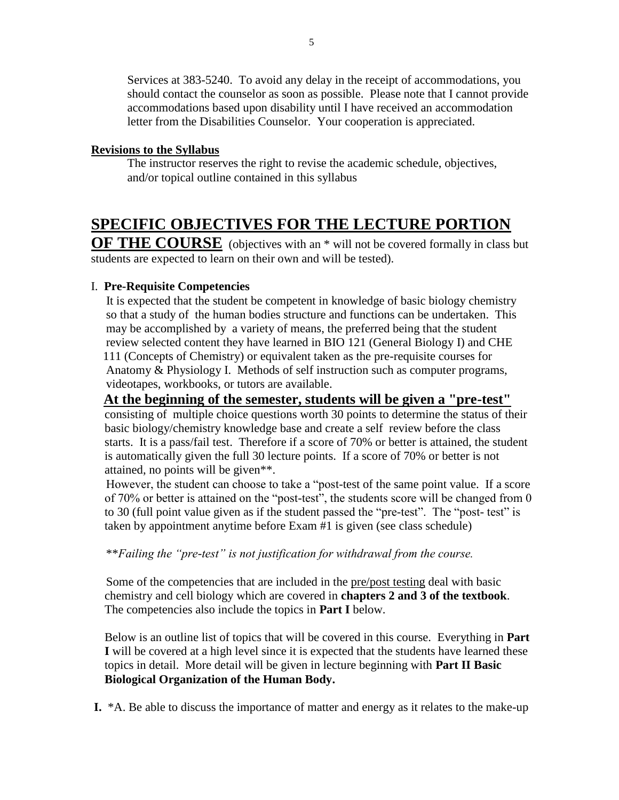Services at 383-5240. To avoid any delay in the receipt of accommodations, you should contact the counselor as soon as possible. Please note that I cannot provide accommodations based upon disability until I have received an accommodation letter from the Disabilities Counselor. Your cooperation is appreciated.

#### **Revisions to the Syllabus**

The instructor reserves the right to revise the academic schedule, objectives, and/or topical outline contained in this syllabus

# **SPECIFIC OBJECTIVES FOR THE LECTURE PORTION**

**OF THE COURSE** (objectives with an \* will not be covered formally in class but students are expected to learn on their own and will be tested).

### I. **Pre-Requisite Competencies**

 It is expected that the student be competent in knowledge of basic biology chemistry so that a study of the human bodies structure and functions can be undertaken. This may be accomplished by a variety of means, the preferred being that the student review selected content they have learned in BIO 121 (General Biology I) and CHE 111 (Concepts of Chemistry) or equivalent taken as the pre-requisite courses for Anatomy & Physiology I. Methods of self instruction such as computer programs, videotapes, workbooks, or tutors are available.

#### **At the beginning of the semester, students will be given a "pre-test"**

consisting of multiple choice questions worth 30 points to determine the status of their basic biology/chemistry knowledge base and create a self review before the class starts. It is a pass/fail test. Therefore if a score of 70% or better is attained, the student is automatically given the full 30 lecture points. If a score of 70% or better is not attained, no points will be given\*\*.

 However, the student can choose to take a "post-test of the same point value. If a score of 70% or better is attained on the "post-test", the students score will be changed from 0 to 30 (full point value given as if the student passed the "pre-test". The "post- test" is taken by appointment anytime before Exam #1 is given (see class schedule)

\*\**Failing the "pre-test" is not justification for withdrawal from the course.*

 Some of the competencies that are included in the pre/post testing deal with basic chemistry and cell biology which are covered in **chapters 2 and 3 of the textbook**. The competencies also include the topics in **Part I** below.

Below is an outline list of topics that will be covered in this course. Everything in **Part I** will be covered at a high level since it is expected that the students have learned these topics in detail. More detail will be given in lecture beginning with **Part II Basic Biological Organization of the Human Body.**

**I.** \*A. Be able to discuss the importance of matter and energy as it relates to the make-up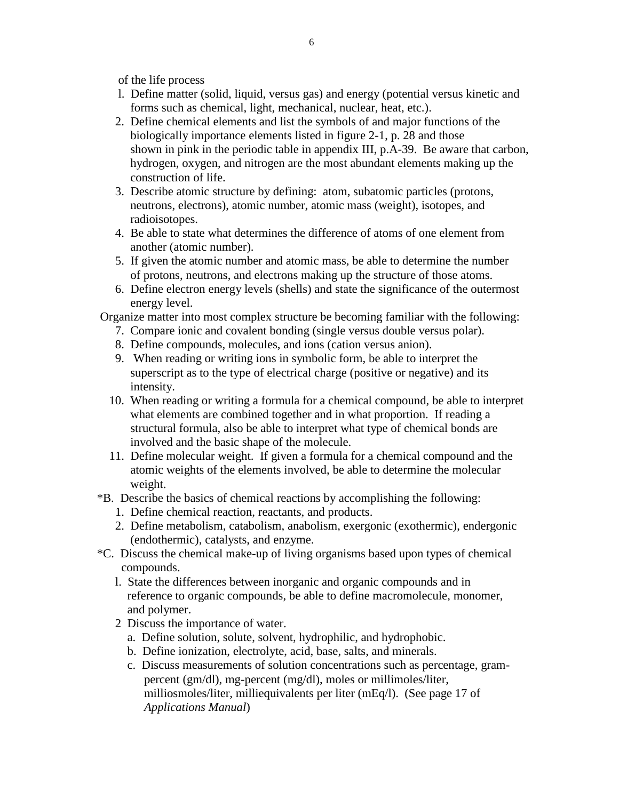of the life process

- l. Define matter (solid, liquid, versus gas) and energy (potential versus kinetic and forms such as chemical, light, mechanical, nuclear, heat, etc.).
- 2. Define chemical elements and list the symbols of and major functions of the biologically importance elements listed in figure 2-1, p. 28 and those shown in pink in the periodic table in appendix III, p.A-39. Be aware that carbon, hydrogen, oxygen, and nitrogen are the most abundant elements making up the construction of life.
- 3. Describe atomic structure by defining: atom, subatomic particles (protons, neutrons, electrons), atomic number, atomic mass (weight), isotopes, and radioisotopes.
- 4. Be able to state what determines the difference of atoms of one element from another (atomic number).
- 5. If given the atomic number and atomic mass, be able to determine the number of protons, neutrons, and electrons making up the structure of those atoms.
- 6. Define electron energy levels (shells) and state the significance of the outermost energy level.

Organize matter into most complex structure be becoming familiar with the following:

- 7. Compare ionic and covalent bonding (single versus double versus polar).
- 8. Define compounds, molecules, and ions (cation versus anion).
- 9. When reading or writing ions in symbolic form, be able to interpret the superscript as to the type of electrical charge (positive or negative) and its intensity.
- 10. When reading or writing a formula for a chemical compound, be able to interpret what elements are combined together and in what proportion. If reading a structural formula, also be able to interpret what type of chemical bonds are involved and the basic shape of the molecule.
- 11. Define molecular weight. If given a formula for a chemical compound and the atomic weights of the elements involved, be able to determine the molecular weight.
- \*B. Describe the basics of chemical reactions by accomplishing the following:
	- 1. Define chemical reaction, reactants, and products.
	- 2. Define metabolism, catabolism, anabolism, exergonic (exothermic), endergonic (endothermic), catalysts, and enzyme.
- \*C. Discuss the chemical make-up of living organisms based upon types of chemical compounds.
	- l. State the differences between inorganic and organic compounds and in reference to organic compounds, be able to define macromolecule, monomer, and polymer.
	- 2 Discuss the importance of water.
		- a. Define solution, solute, solvent, hydrophilic, and hydrophobic.
		- b. Define ionization, electrolyte, acid, base, salts, and minerals.
		- c. Discuss measurements of solution concentrations such as percentage, gram percent (gm/dl), mg-percent (mg/dl), moles or millimoles/liter, milliosmoles/liter, milliequivalents per liter (mEq/l). (See page 17 of *Applications Manual*)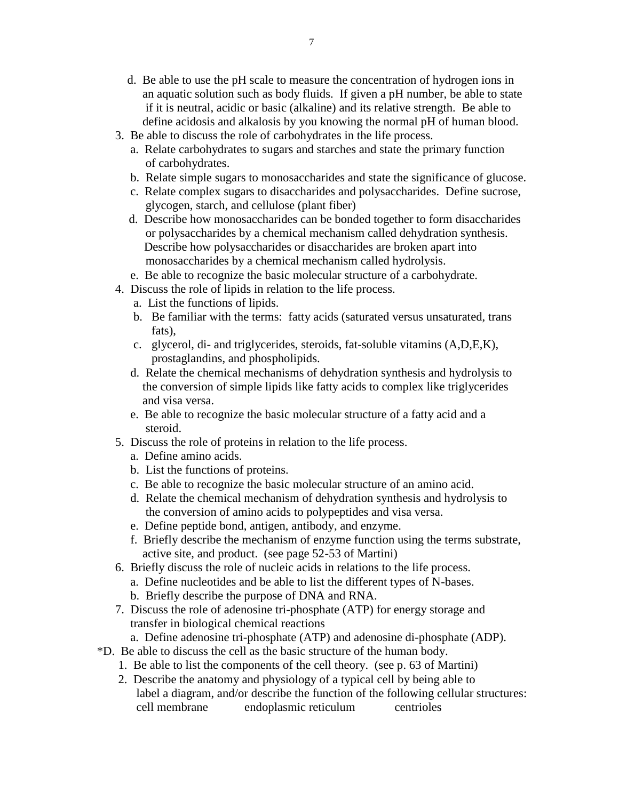- d. Be able to use the pH scale to measure the concentration of hydrogen ions in an aquatic solution such as body fluids. If given a pH number, be able to state if it is neutral, acidic or basic (alkaline) and its relative strength. Be able to define acidosis and alkalosis by you knowing the normal pH of human blood.
- 3. Be able to discuss the role of carbohydrates in the life process.
	- a. Relate carbohydrates to sugars and starches and state the primary function of carbohydrates.
	- b. Relate simple sugars to monosaccharides and state the significance of glucose.
	- c. Relate complex sugars to disaccharides and polysaccharides. Define sucrose, glycogen, starch, and cellulose (plant fiber)
	- d. Describe how monosaccharides can be bonded together to form disaccharides or polysaccharides by a chemical mechanism called dehydration synthesis. Describe how polysaccharides or disaccharides are broken apart into monosaccharides by a chemical mechanism called hydrolysis.
	- e. Be able to recognize the basic molecular structure of a carbohydrate.
- 4. Discuss the role of lipids in relation to the life process.
	- a. List the functions of lipids.
	- b. Be familiar with the terms: fatty acids (saturated versus unsaturated, trans fats),
	- c. glycerol, di- and triglycerides, steroids, fat-soluble vitamins (A,D,E,K), prostaglandins, and phospholipids.
	- d. Relate the chemical mechanisms of dehydration synthesis and hydrolysis to the conversion of simple lipids like fatty acids to complex like triglycerides and visa versa.
	- e. Be able to recognize the basic molecular structure of a fatty acid and a steroid.
- 5. Discuss the role of proteins in relation to the life process.
	- a. Define amino acids.
	- b. List the functions of proteins.
	- c. Be able to recognize the basic molecular structure of an amino acid.
	- d. Relate the chemical mechanism of dehydration synthesis and hydrolysis to the conversion of amino acids to polypeptides and visa versa.
	- e. Define peptide bond, antigen, antibody, and enzyme.
	- f. Briefly describe the mechanism of enzyme function using the terms substrate, active site, and product. (see page 52-53 of Martini)
- 6. Briefly discuss the role of nucleic acids in relations to the life process.
	- a. Define nucleotides and be able to list the different types of N-bases.
	- b. Briefly describe the purpose of DNA and RNA.
- 7. Discuss the role of adenosine tri-phosphate (ATP) for energy storage and transfer in biological chemical reactions
	- a. Define adenosine tri-phosphate (ATP) and adenosine di-phosphate (ADP).
- \*D. Be able to discuss the cell as the basic structure of the human body.
	- 1. Be able to list the components of the cell theory. (see p. 63 of Martini)
	- 2. Describe the anatomy and physiology of a typical cell by being able to label a diagram, and/or describe the function of the following cellular structures: cell membrane endoplasmic reticulum centrioles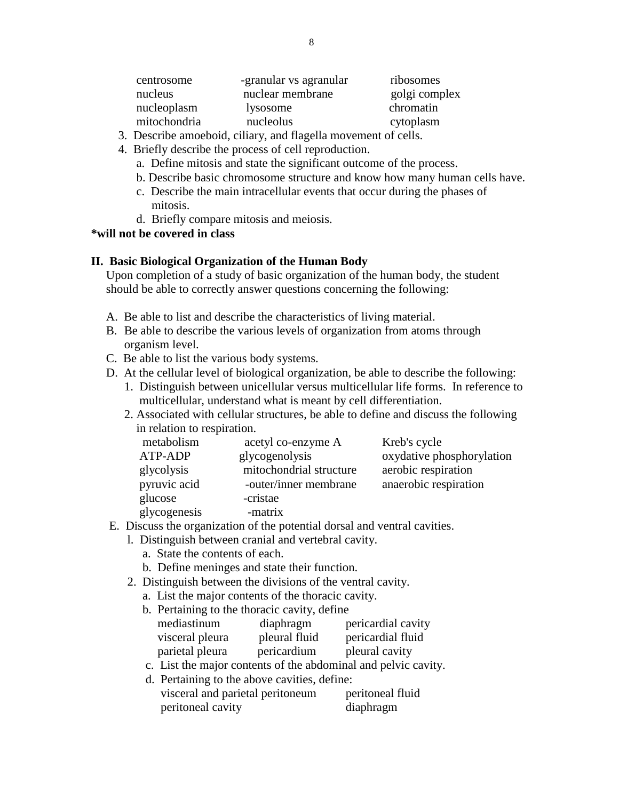| centrosome   | -granular vs agranular | ribosomes     |
|--------------|------------------------|---------------|
| nucleus      | nuclear membrane       | golgi complex |
| nucleoplasm  | lysosome               | chromatin     |
| mitochondria | nucleolus              | cytoplasm     |

- 3. Describe amoeboid, ciliary, and flagella movement of cells.
- 4. Briefly describe the process of cell reproduction.
	- a. Define mitosis and state the significant outcome of the process.
	- b. Describe basic chromosome structure and know how many human cells have.
	- c. Describe the main intracellular events that occur during the phases of mitosis.
	- d. Briefly compare mitosis and meiosis.

#### **\*will not be covered in class**

#### **II. Basic Biological Organization of the Human Body**

 Upon completion of a study of basic organization of the human body, the student should be able to correctly answer questions concerning the following:

- A. Be able to list and describe the characteristics of living material.
- B. Be able to describe the various levels of organization from atoms through organism level.
- C. Be able to list the various body systems.
- D. At the cellular level of biological organization, be able to describe the following:
	- 1. Distinguish between unicellular versus multicellular life forms. In reference to multicellular, understand what is meant by cell differentiation.
	- 2. Associated with cellular structures, be able to define and discuss the following in relation to respiration.

| metabolism   |                | acetyl co-enzyme A      | Kreb's cycle              |
|--------------|----------------|-------------------------|---------------------------|
| ATP-ADP      | glycogenolysis |                         | oxydative phosphorylation |
| glycolysis   |                | mitochondrial structure | aerobic respiration       |
| pyruvic acid |                | -outer/inner membrane   | anaerobic respiration     |
| glucose      | -cristae       |                         |                           |
| glycogenesis | -matrix        |                         |                           |

- E. Discuss the organization of the potential dorsal and ventral cavities.
	- l. Distinguish between cranial and vertebral cavity.
		- a. State the contents of each.
		- b. Define meninges and state their function.
	- 2. Distinguish between the divisions of the ventral cavity.
		- a. List the major contents of the thoracic cavity.

| b. Pertaining to the thoracic cavity, define |               |                                                                |
|----------------------------------------------|---------------|----------------------------------------------------------------|
| mediastinum                                  | diaphragm     | pericardial cavity                                             |
| visceral pleura                              | pleural fluid | pericardial fluid                                              |
| parietal pleura                              | pericardium   | pleural cavity                                                 |
|                                              |               | c. List the major contents of the abdominal and pelvic cavity. |

- d. Pertaining to the above cavities, define:
- visceral and parietal peritoneum peritoneal fluid peritoneal cavity diaphragm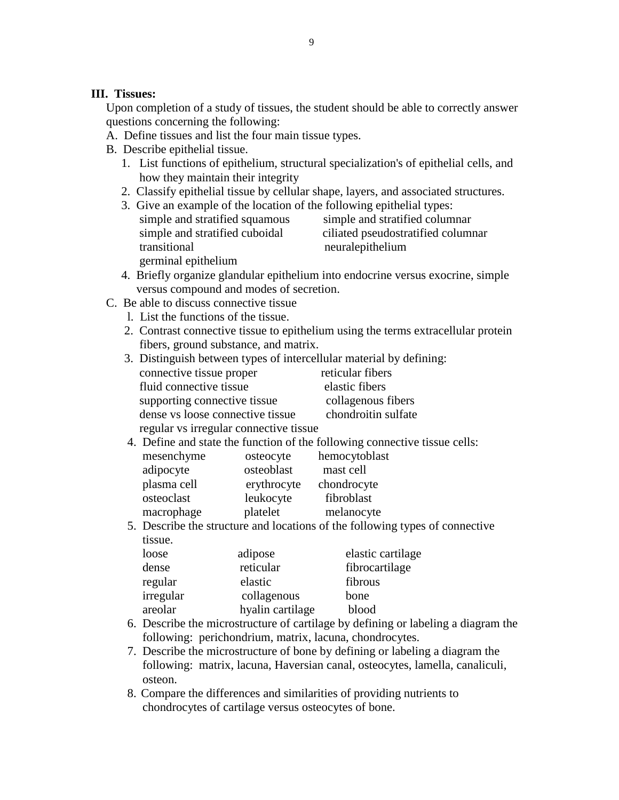#### **III. Tissues:**

 Upon completion of a study of tissues, the student should be able to correctly answer questions concerning the following:

- A. Define tissues and list the four main tissue types.
- B. Describe epithelial tissue.
	- 1. List functions of epithelium, structural specialization's of epithelial cells, and how they maintain their integrity
	- 2. Classify epithelial tissue by cellular shape, layers, and associated structures.
	- 3. Give an example of the location of the following epithelial types: simple and stratified squamous simple and stratified columnar simple and stratified cuboidal ciliated pseudostratified columnar transitional neuralepithelium germinal epithelium
	- 4. Briefly organize glandular epithelium into endocrine versus exocrine, simple versus compound and modes of secretion.
- C. Be able to discuss connective tissue
	- l. List the functions of the tissue.
	- 2. Contrast connective tissue to epithelium using the terms extracellular protein fibers, ground substance, and matrix.

| 3. Distinguish between types of intercellular material by defining: |                     |
|---------------------------------------------------------------------|---------------------|
| connective tissue proper                                            | reticular fibers    |
| fluid connective tissue                                             | elastic fibers      |
| supporting connective tissue                                        | collagenous fibers  |
| dense vs loose connective tissue                                    | chondroitin sulfate |
| regular vs irregular connective tissue                              |                     |
|                                                                     |                     |

4. Define and state the function of the following connective tissue cells:

| mesenchyme  | osteocyte   | hemocytoblast |
|-------------|-------------|---------------|
| adipocyte   | osteoblast  | mast cell     |
| plasma cell | erythrocyte | chondrocyte   |
| osteoclast  | leukocyte   | fibroblast    |
| macrophage  | platelet    | melanocyte    |

 5. Describe the structure and locations of the following types of connective tissue.

| loose     | adipose          | elastic cartilage |
|-----------|------------------|-------------------|
| dense     | reticular        | fibrocartilage    |
| regular   | elastic          | fibrous           |
| irregular | collagenous      | bone              |
| areolar   | hyalin cartilage | blood             |

- 6. Describe the microstructure of cartilage by defining or labeling a diagram the following: perichondrium, matrix, lacuna, chondrocytes.
- 7. Describe the microstructure of bone by defining or labeling a diagram the following: matrix, lacuna, Haversian canal, osteocytes, lamella, canaliculi, osteon.
- 8. Compare the differences and similarities of providing nutrients to chondrocytes of cartilage versus osteocytes of bone.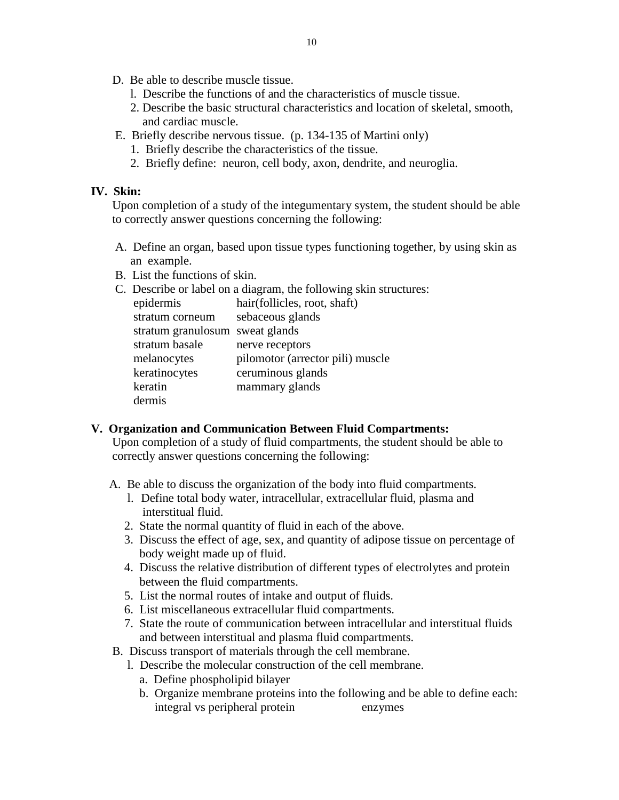- D. Be able to describe muscle tissue.
	- l. Describe the functions of and the characteristics of muscle tissue.
	- 2. Describe the basic structural characteristics and location of skeletal, smooth, and cardiac muscle.
- E. Briefly describe nervous tissue. (p. 134-135 of Martini only)
	- 1. Briefly describe the characteristics of the tissue.
	- 2. Briefly define: neuron, cell body, axon, dendrite, and neuroglia.

#### **IV. Skin:**

 Upon completion of a study of the integumentary system, the student should be able to correctly answer questions concerning the following:

- A. Define an organ, based upon tissue types functioning together, by using skin as an example.
- B. List the functions of skin.
- C. Describe or label on a diagram, the following skin structures:

| epidermis                       | hair(follicles, root, shaft)     |
|---------------------------------|----------------------------------|
| stratum corneum                 | sebaceous glands                 |
| stratum granulosum sweat glands |                                  |
| stratum basale                  | nerve receptors                  |
| melanocytes                     | pilomotor (arrector pili) muscle |
| keratinocytes                   | ceruminous glands                |
| keratin                         | mammary glands                   |
| dermis                          |                                  |

#### **V. Organization and Communication Between Fluid Compartments:**

 Upon completion of a study of fluid compartments, the student should be able to correctly answer questions concerning the following:

- A. Be able to discuss the organization of the body into fluid compartments.
	- l. Define total body water, intracellular, extracellular fluid, plasma and interstitual fluid.
	- 2. State the normal quantity of fluid in each of the above.
	- 3. Discuss the effect of age, sex, and quantity of adipose tissue on percentage of body weight made up of fluid.
	- 4. Discuss the relative distribution of different types of electrolytes and protein between the fluid compartments.
	- 5. List the normal routes of intake and output of fluids.
	- 6. List miscellaneous extracellular fluid compartments.
	- 7. State the route of communication between intracellular and interstitual fluids and between interstitual and plasma fluid compartments.
- B. Discuss transport of materials through the cell membrane.
	- l. Describe the molecular construction of the cell membrane.
		- a. Define phospholipid bilayer
		- b. Organize membrane proteins into the following and be able to define each: integral vs peripheral protein enzymes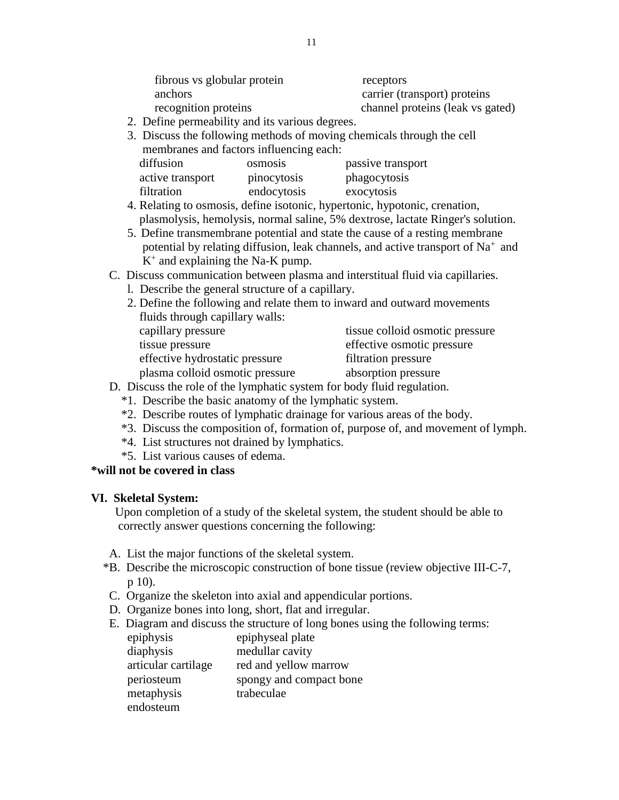| fibrous vs globular protein | receptors                        |
|-----------------------------|----------------------------------|
| anchors                     | carrier (transport) proteins     |
| recognition proteins        | channel proteins (leak vs gated) |

- 2. Define permeability and its various degrees.
- 3. Discuss the following methods of moving chemicals through the cell membranes and factors influencing each:

| diffusion        | <b>OSMOSIS</b> | passive transport |
|------------------|----------------|-------------------|
| active transport | pinocytosis    | phagocytosis      |
| filtration       | endocytosis    | exocytosis        |

- 4. Relating to osmosis, define isotonic, hypertonic, hypotonic, crenation, plasmolysis, hemolysis, normal saline, 5% dextrose, lactate Ringer's solution.
- 5. Define transmembrane potential and state the cause of a resting membrane potential by relating diffusion, leak channels, and active transport of  $Na<sup>+</sup>$  and  $K^+$  and explaining the Na-K pump.

#### C. Discuss communication between plasma and interstitual fluid via capillaries.

l. Describe the general structure of a capillary.

| 2. Define the following and relate them to inward and outward movements |                                 |
|-------------------------------------------------------------------------|---------------------------------|
| fluids through capillary walls:                                         |                                 |
| capillary pressure                                                      | tissue colloid osmotic pressure |
| tissue pressure                                                         | effective osmotic pressure      |
| effective hydrostatic pressure                                          | filtration pressure             |
| plasma colloid osmotic pressure                                         | absorption pressure             |

- D. Discuss the role of the lymphatic system for body fluid regulation.
	- \*1. Describe the basic anatomy of the lymphatic system.
	- \*2. Describe routes of lymphatic drainage for various areas of the body.
	- \*3. Discuss the composition of, formation of, purpose of, and movement of lymph.
	- \*4. List structures not drained by lymphatics.
	- \*5. List various causes of edema.

#### **\*will not be covered in class**

#### **VI. Skeletal System:**

 Upon completion of a study of the skeletal system, the student should be able to correctly answer questions concerning the following:

- A. List the major functions of the skeletal system.
- \*B. Describe the microscopic construction of bone tissue (review objective III-C-7, p 10).
- C. Organize the skeleton into axial and appendicular portions.
- D. Organize bones into long, short, flat and irregular.
- E. Diagram and discuss the structure of long bones using the following terms:

| epiphysis           | epiphyseal plate        |
|---------------------|-------------------------|
| diaphysis           | medullar cavity         |
| articular cartilage | red and yellow marrow   |
| periosteum          | spongy and compact bone |
| metaphysis          | trabeculae              |
| endosteum           |                         |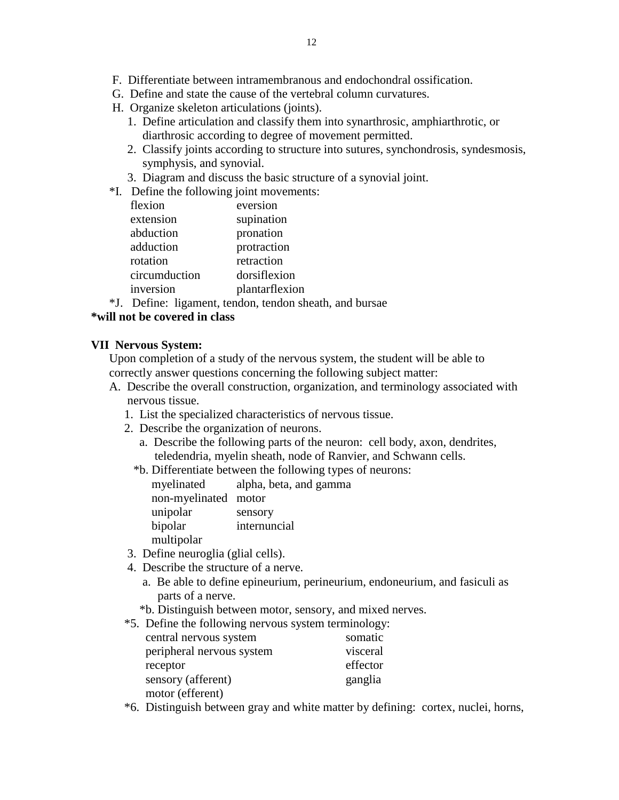- F. Differentiate between intramembranous and endochondral ossification.
- G. Define and state the cause of the vertebral column curvatures.
- H. Organize skeleton articulations (joints).
	- 1. Define articulation and classify them into synarthrosic, amphiarthrotic, or diarthrosic according to degree of movement permitted.
	- 2. Classify joints according to structure into sutures, synchondrosis, syndesmosis, symphysis, and synovial.
	- 3. Diagram and discuss the basic structure of a synovial joint.
- \*I. Define the following joint movements:

| flexion       | eversion       |
|---------------|----------------|
| extension     | supination     |
| abduction     | pronation      |
| adduction     | protraction    |
| rotation      | retraction     |
| circumduction | dorsiflexion   |
| inversion     | plantarflexion |
|               |                |

\*J. Define: ligament, tendon, tendon sheath, and bursae

## **\*will not be covered in class**

#### **VII Nervous System:**

 Upon completion of a study of the nervous system, the student will be able to correctly answer questions concerning the following subject matter:

- A. Describe the overall construction, organization, and terminology associated with nervous tissue.
	- 1. List the specialized characteristics of nervous tissue.
	- 2. Describe the organization of neurons.
		- a. Describe the following parts of the neuron: cell body, axon, dendrites, teledendria, myelin sheath, node of Ranvier, and Schwann cells.
		- \*b. Differentiate between the following types of neurons:

 myelinated alpha, beta, and gamma non-myelinated motor unipolar sensory bipolar internuncial multipolar

- 3. Define neuroglia (glial cells).
- 4. Describe the structure of a nerve.
	- a. Be able to define epineurium, perineurium, endoneurium, and fasiculi as parts of a nerve.
	- \*b. Distinguish between motor, sensory, and mixed nerves.
- \*5. Define the following nervous system terminology:

| central nervous system    | somatic  |
|---------------------------|----------|
| peripheral nervous system | visceral |
| receptor                  | effector |
| sensory (afferent)        | ganglia  |
| motor (efferent)          |          |

\*6. Distinguish between gray and white matter by defining: cortex, nuclei, horns,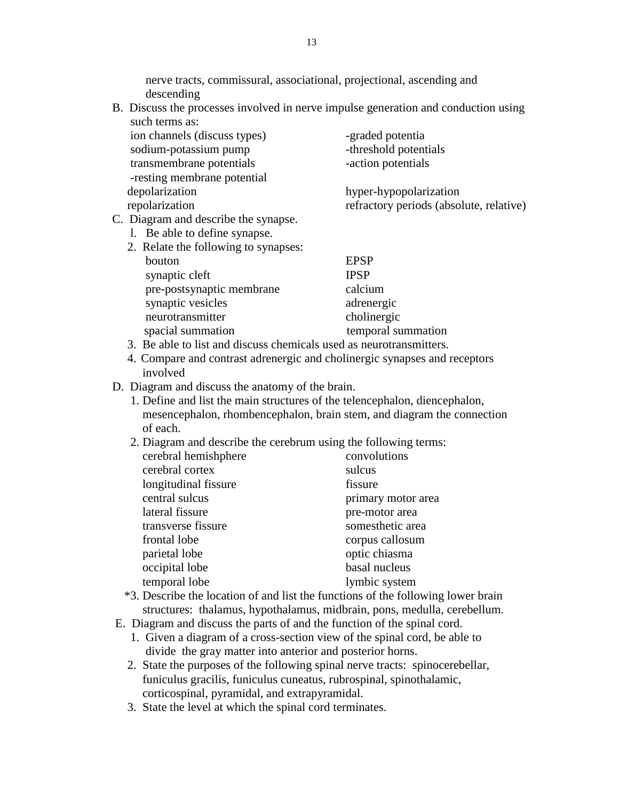nerve tracts, commissural, associational, projectional, ascending and descending

 B. Discuss the processes involved in nerve impulse generation and conduction using such terms as:

| ion channels (discuss types)<br>sodium-potassium pump<br>transmembrane potentials<br>-resting membrane potential | -graded potentia<br>-threshold potentials<br>-action potentials   |
|------------------------------------------------------------------------------------------------------------------|-------------------------------------------------------------------|
| depolarization<br>repolarization                                                                                 | hyper-hypopolarization<br>refractory periods (absolute, relative) |
| C. Diagram and describe the synapse.<br>1. Be able to define synapse.                                            |                                                                   |

| 2. Relate the following to synapses: |                    |
|--------------------------------------|--------------------|
| bouton                               | <b>EPSP</b>        |
| synaptic cleft                       | <b>IPSP</b>        |
| pre-postsynaptic membrane            | calcium            |
| synaptic vesicles                    | adrenergic         |
| neurotransmitter                     | cholinergic        |
| spacial summation                    | temporal summation |
|                                      |                    |

- 3. Be able to list and discuss chemicals used as neurotransmitters.
- 4. Compare and contrast adrenergic and cholinergic synapses and receptors involved
- D. Diagram and discuss the anatomy of the brain.
	- 1. Define and list the main structures of the telencephalon, diencephalon, mesencephalon, rhombencephalon, brain stem, and diagram the connection of each.
	- 2. Diagram and describe the cerebrum using the following terms:

| cerebral hemishphere | convolutions       |
|----------------------|--------------------|
| cerebral cortex      | sulcus             |
| longitudinal fissure | fissure            |
| central sulcus       | primary motor area |
| lateral fissure      | pre-motor area     |
| transverse fissure   | somesthetic area   |
| frontal lobe         | corpus callosum    |
| parietal lobe        | optic chiasma      |
| occipital lobe       | basal nucleus      |
| temporal lobe        | lymbic system      |
|                      |                    |

- \*3. Describe the location of and list the functions of the following lower brain structures: thalamus, hypothalamus, midbrain, pons, medulla, cerebellum.
- E. Diagram and discuss the parts of and the function of the spinal cord.
	- 1. Given a diagram of a cross-section view of the spinal cord, be able to divide the gray matter into anterior and posterior horns.
	- 2. State the purposes of the following spinal nerve tracts: spinocerebellar, funiculus gracilis, funiculus cuneatus, rubrospinal, spinothalamic, corticospinal, pyramidal, and extrapyramidal.
	- 3. State the level at which the spinal cord terminates.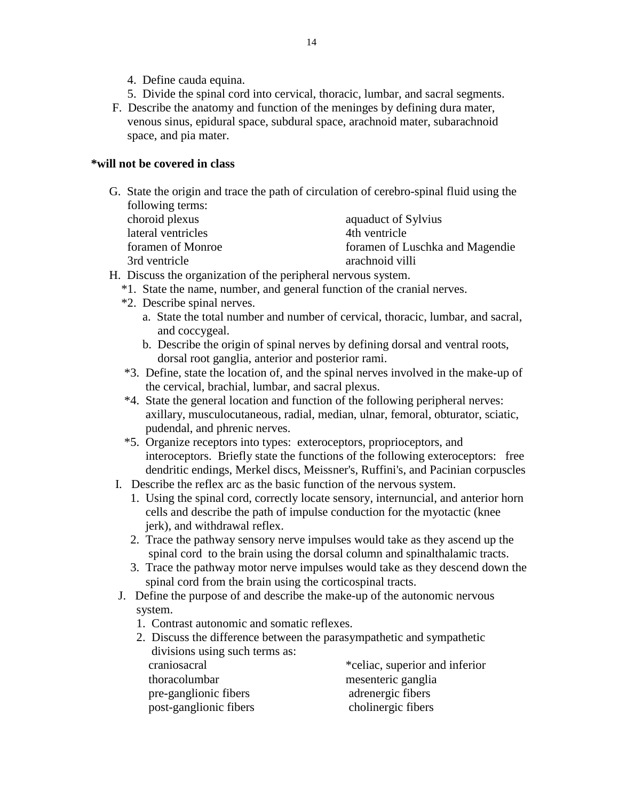- 4. Define cauda equina.
- 5. Divide the spinal cord into cervical, thoracic, lumbar, and sacral segments.
- F. Describe the anatomy and function of the meninges by defining dura mater, venous sinus, epidural space, subdural space, arachnoid mater, subarachnoid space, and pia mater.

#### **\*will not be covered in class**

 G. State the origin and trace the path of circulation of cerebro-spinal fluid using the following terms:

| choroid plexus     | aquaduct of Sylvius             |
|--------------------|---------------------------------|
| lateral ventricles | 4th ventricle                   |
| foramen of Monroe  | foramen of Luschka and Magendie |
| 3rd ventricle      | arachnoid villi                 |

- H. Discuss the organization of the peripheral nervous system.
	- \*1. State the name, number, and general function of the cranial nerves.
	- \*2. Describe spinal nerves.
		- a. State the total number and number of cervical, thoracic, lumbar, and sacral, and coccygeal.
		- b. Describe the origin of spinal nerves by defining dorsal and ventral roots, dorsal root ganglia, anterior and posterior rami.
	- \*3. Define, state the location of, and the spinal nerves involved in the make-up of the cervical, brachial, lumbar, and sacral plexus.
	- \*4. State the general location and function of the following peripheral nerves: axillary, musculocutaneous, radial, median, ulnar, femoral, obturator, sciatic, pudendal, and phrenic nerves.
	- \*5. Organize receptors into types: exteroceptors, proprioceptors, and interoceptors. Briefly state the functions of the following exteroceptors: free dendritic endings, Merkel discs, Meissner's, Ruffini's, and Pacinian corpuscles
	- I. Describe the reflex arc as the basic function of the nervous system.
		- 1. Using the spinal cord, correctly locate sensory, internuncial, and anterior horn cells and describe the path of impulse conduction for the myotactic (knee jerk), and withdrawal reflex.
		- 2. Trace the pathway sensory nerve impulses would take as they ascend up the spinal cord to the brain using the dorsal column and spinalthalamic tracts.
		- 3. Trace the pathway motor nerve impulses would take as they descend down the spinal cord from the brain using the corticospinal tracts.
	- J. Define the purpose of and describe the make-up of the autonomic nervous system.
		- 1. Contrast autonomic and somatic reflexes.
		- 2. Discuss the difference between the parasympathetic and sympathetic divisions using such terms as: craniosacral \*celiac, superior and inferior thoracolumbar mesenteric ganglia pre-ganglionic fibers adrenergic fibers post-ganglionic fibers cholinergic fibers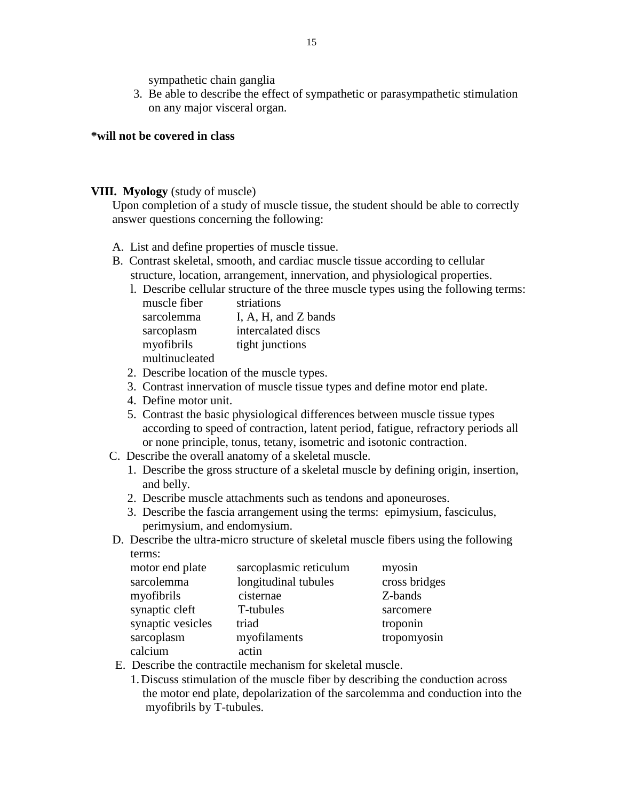sympathetic chain ganglia

 3. Be able to describe the effect of sympathetic or parasympathetic stimulation on any major visceral organ.

#### **\*will not be covered in class**

#### **VIII. Myology** (study of muscle)

 Upon completion of a study of muscle tissue, the student should be able to correctly answer questions concerning the following:

- A. List and define properties of muscle tissue.
- B. Contrast skeletal, smooth, and cardiac muscle tissue according to cellular structure, location, arrangement, innervation, and physiological properties.
	- l. Describe cellular structure of the three muscle types using the following terms:

| muscle fiber   | striations           |
|----------------|----------------------|
| sarcolemma     | I, A, H, and Z bands |
| sarcoplasm     | intercalated discs   |
| myofibrils     | tight junctions      |
| multinucleated |                      |

- 2. Describe location of the muscle types.
- 3. Contrast innervation of muscle tissue types and define motor end plate.
- 4. Define motor unit.
- 5. Contrast the basic physiological differences between muscle tissue types according to speed of contraction, latent period, fatigue, refractory periods all or none principle, tonus, tetany, isometric and isotonic contraction.
- C. Describe the overall anatomy of a skeletal muscle.
	- 1. Describe the gross structure of a skeletal muscle by defining origin, insertion, and belly.
	- 2. Describe muscle attachments such as tendons and aponeuroses.
	- 3. Describe the fascia arrangement using the terms: epimysium, fasciculus, perimysium, and endomysium.
- D. Describe the ultra-micro structure of skeletal muscle fibers using the following terms:

| motor end plate   | sarcoplasmic reticulum | myosin        |
|-------------------|------------------------|---------------|
| sarcolemma        | longitudinal tubules   | cross bridges |
| myofibrils        | cisternae              | Z-bands       |
| synaptic cleft    | T-tubules              | sarcomere     |
| synaptic vesicles | triad                  | troponin      |
| sarcoplasm        | myofilaments           | tropomyosin   |
| calcium           | actin                  |               |

- E. Describe the contractile mechanism for skeletal muscle.
	- 1.Discuss stimulation of the muscle fiber by describing the conduction across the motor end plate, depolarization of the sarcolemma and conduction into the myofibrils by T-tubules.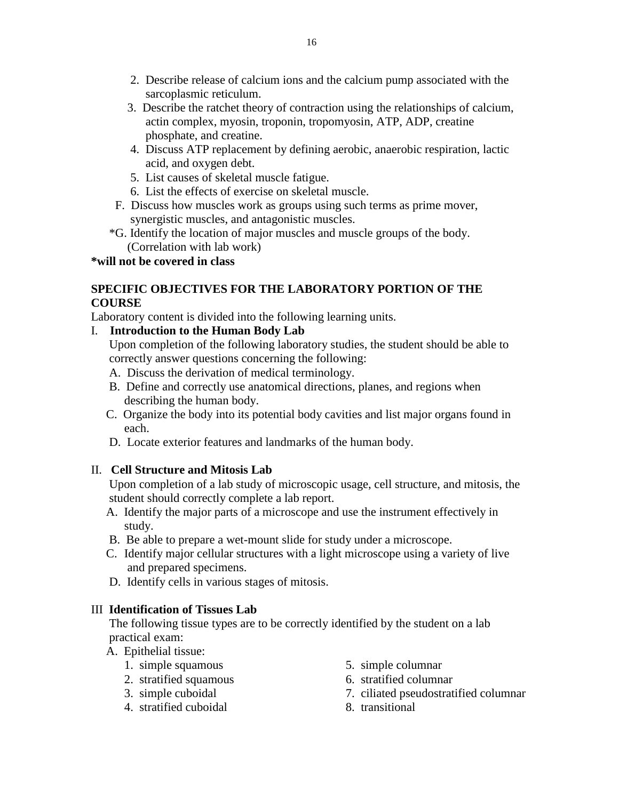- 2. Describe release of calcium ions and the calcium pump associated with the sarcoplasmic reticulum.
- 3. Describe the ratchet theory of contraction using the relationships of calcium, actin complex, myosin, troponin, tropomyosin, ATP, ADP, creatine phosphate, and creatine.
- 4. Discuss ATP replacement by defining aerobic, anaerobic respiration, lactic acid, and oxygen debt.
- 5. List causes of skeletal muscle fatigue.
- 6. List the effects of exercise on skeletal muscle.
- F. Discuss how muscles work as groups using such terms as prime mover, synergistic muscles, and antagonistic muscles.
- \*G. Identify the location of major muscles and muscle groups of the body. (Correlation with lab work)

### **\*will not be covered in class**

### **SPECIFIC OBJECTIVES FOR THE LABORATORY PORTION OF THE COURSE**

Laboratory content is divided into the following learning units.

## I. **Introduction to the Human Body Lab**

 Upon completion of the following laboratory studies, the student should be able to correctly answer questions concerning the following:

- A. Discuss the derivation of medical terminology.
- B. Define and correctly use anatomical directions, planes, and regions when describing the human body.
- C. Organize the body into its potential body cavities and list major organs found in each.
- D. Locate exterior features and landmarks of the human body.

## II. **Cell Structure and Mitosis Lab**

 Upon completion of a lab study of microscopic usage, cell structure, and mitosis, the student should correctly complete a lab report.

- A. Identify the major parts of a microscope and use the instrument effectively in study.
- B. Be able to prepare a wet-mount slide for study under a microscope.
- C. Identify major cellular structures with a light microscope using a variety of live and prepared specimens.
- D. Identify cells in various stages of mitosis.

## III **Identification of Tissues Lab**

 The following tissue types are to be correctly identified by the student on a lab practical exam:

- A. Epithelial tissue:
	- 1. simple squamous 5. simple columnar
	-
	-
	- 4. stratified cuboidal 8. transitional
- - 2. stratified squamous 6. stratified columnar
	- 3. simple cuboidal 7. ciliated pseudostratified columnar
		-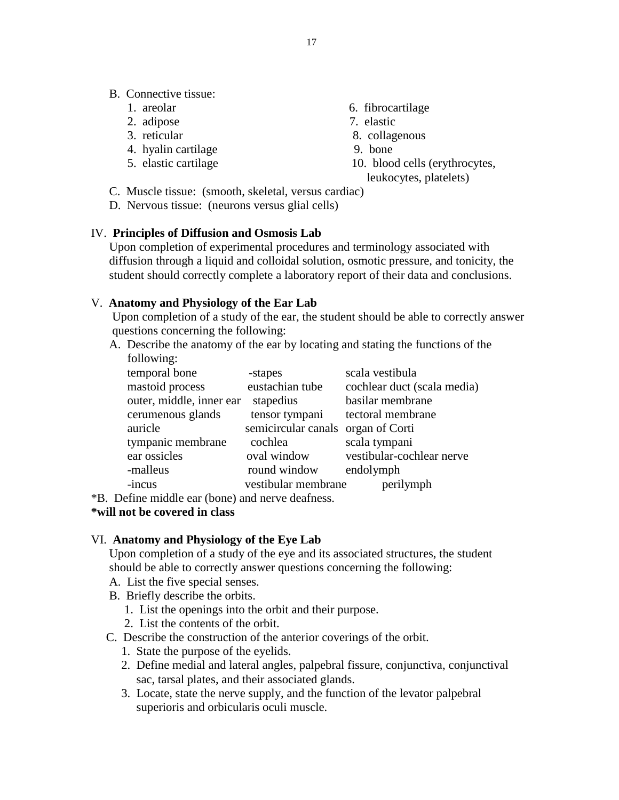- 
- 2. adipose 7. elastic
- 
- 4. hyalin cartilage 9. bone
- 
- 1. areolar 6. fibrocartilage
	-
- 3. reticular 8. collagenous
	-
- 5. elastic cartilage 10. blood cells (erythrocytes,
	- leukocytes, platelets)
- C. Muscle tissue: (smooth, skeletal, versus cardiac)
- D. Nervous tissue: (neurons versus glial cells)

#### IV. **Principles of Diffusion and Osmosis Lab**

 Upon completion of experimental procedures and terminology associated with diffusion through a liquid and colloidal solution, osmotic pressure, and tonicity, the student should correctly complete a laboratory report of their data and conclusions.

#### V. **Anatomy and Physiology of the Ear Lab**

 Upon completion of a study of the ear, the student should be able to correctly answer questions concerning the following:

 A. Describe the anatomy of the ear by locating and stating the functions of the following:

| temporal bone            | -stapes                            | scala vestibula             |
|--------------------------|------------------------------------|-----------------------------|
| mastoid process          | eustachian tube                    | cochlear duct (scala media) |
| outer, middle, inner ear | stapedius                          | basilar membrane            |
| cerumenous glands        | tensor tympani                     | tectoral membrane           |
| auricle                  | semicircular canals organ of Corti |                             |
| tympanic membrane        | cochlea                            | scala tympani               |
| ear ossicles             | oval window                        | vestibular-cochlear nerve   |
| -malleus                 | round window                       | endolymph                   |
| -incus                   | vestibular membrane                | perilymph                   |
|                          |                                    |                             |

\*B. Define middle ear (bone) and nerve deafness.

#### **\*will not be covered in class**

#### VI. **Anatomy and Physiology of the Eye Lab**

 Upon completion of a study of the eye and its associated structures, the student should be able to correctly answer questions concerning the following:

- A. List the five special senses.
- B. Briefly describe the orbits.
	- 1. List the openings into the orbit and their purpose.
	- 2. List the contents of the orbit.
- C. Describe the construction of the anterior coverings of the orbit.
	- 1. State the purpose of the eyelids.
	- 2. Define medial and lateral angles, palpebral fissure, conjunctiva, conjunctival sac, tarsal plates, and their associated glands.
	- 3. Locate, state the nerve supply, and the function of the levator palpebral superioris and orbicularis oculi muscle.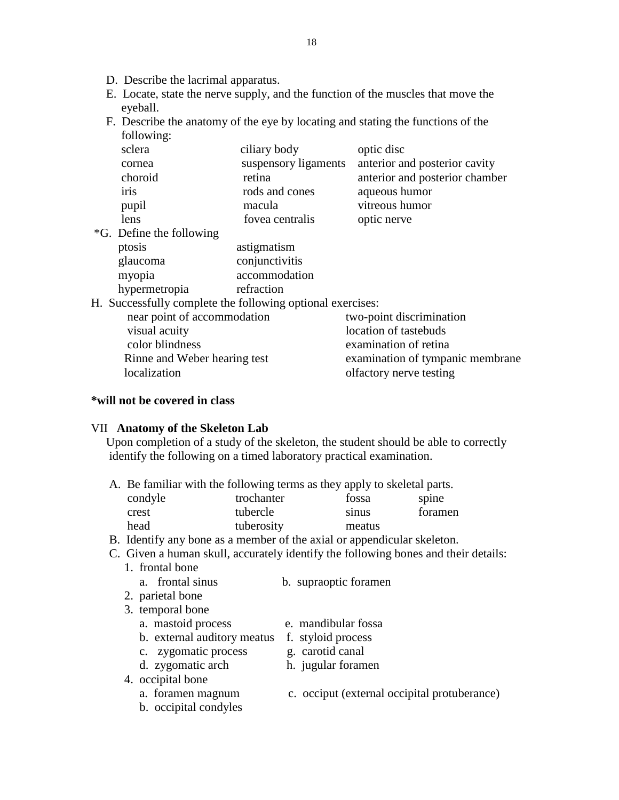- D. Describe the lacrimal apparatus.
- E. Locate, state the nerve supply, and the function of the muscles that move the eyeball.

18

 F. Describe the anatomy of the eye by locating and stating the functions of the following:

| sclera                    | ciliary body         | optic disc                     |
|---------------------------|----------------------|--------------------------------|
| cornea                    | suspensory ligaments | anterior and posterior cavity  |
| choroid                   | retina               | anterior and posterior chamber |
| iris                      | rods and cones       | aqueous humor                  |
| pupil                     | macula               | vitreous humor                 |
| lens                      | fovea centralis      | optic nerve                    |
| $*G$ Define the following |                      |                                |

\*G. Define the following ptosis astigmatism glaucoma conjunctivitis myopia accommodation

hypermetropia refraction

H. Successfully complete the following optional exercises:

| near point of accommodation  | two-point discrimination         |
|------------------------------|----------------------------------|
| visual acuity                | location of tastebuds            |
| color blindness              | examination of retina            |
| Rinne and Weber hearing test | examination of tympanic membrane |
| localization                 | olfactory nerve testing          |
|                              |                                  |

#### **\*will not be covered in class**

#### VII **Anatomy of the Skeleton Lab**

 Upon completion of a study of the skeleton, the student should be able to correctly identify the following on a timed laboratory practical examination.

A. Be familiar with the following terms as they apply to skeletal parts.

| condyle | trochanter | fossa  | spine   |
|---------|------------|--------|---------|
| crest   | tubercle   | sinus  | foramen |
| head    | tuberosity | meatus |         |

- B. Identify any bone as a member of the axial or appendicular skeleton.
- C. Given a human skull, accurately identify the following bones and their details:

| 1. frontal bone    |                       |
|--------------------|-----------------------|
| a. frontal sinus   | b. supraoptic foramen |
| 2. parietal bone   |                       |
| 3. temporal bone   |                       |
| a. mastoid process | e. mandibular fossa   |

- b. external auditory meatus f. styloid process
- c. zygomatic process g. carotid canal
- d. zygomatic arch h. jugular foramen
- 4. occipital bone
	- a. foramen magnum c. occiput (external occipital protuberance)
	- b. occipital condyles
-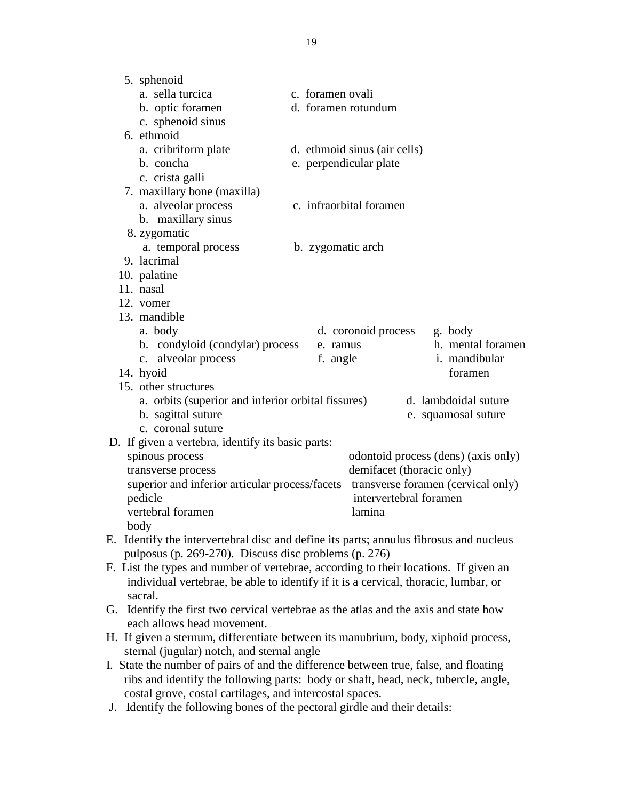| 5. sphenoid                                               |                                                                                        |
|-----------------------------------------------------------|----------------------------------------------------------------------------------------|
| a. sella turcica                                          | c. foramen ovali                                                                       |
| b. optic foramen                                          | d. foramen rotundum                                                                    |
| c. sphenoid sinus                                         |                                                                                        |
| 6. ethmoid                                                |                                                                                        |
| a. cribriform plate                                       | d. ethmoid sinus (air cells)                                                           |
| b. concha                                                 | e. perpendicular plate                                                                 |
| c. crista galli                                           |                                                                                        |
| 7. maxillary bone (maxilla)                               |                                                                                        |
| a. alveolar process                                       | c. infraorbital foramen                                                                |
| b. maxillary sinus                                        |                                                                                        |
| 8. zygomatic                                              |                                                                                        |
| a. temporal process                                       | b. zygomatic arch                                                                      |
| 9. lacrimal                                               |                                                                                        |
| 10. palatine                                              |                                                                                        |
| 11. nasal                                                 |                                                                                        |
| 12. vomer                                                 |                                                                                        |
| 13. mandible                                              |                                                                                        |
| a. body                                                   | d. coronoid process<br>g. body                                                         |
| b. condyloid (condylar) process                           | h. mental foramen<br>e. ramus                                                          |
| c. alveolar process                                       | i. mandibular<br>f. angle                                                              |
| 14. hyoid                                                 | foramen                                                                                |
| 15. other structures                                      |                                                                                        |
| a. orbits (superior and inferior orbital fissures)        | d. lambdoidal suture                                                                   |
| b. sagittal suture                                        | e. squamosal suture                                                                    |
| c. coronal suture                                         |                                                                                        |
| D. If given a vertebra, identify its basic parts:         |                                                                                        |
| spinous process                                           | odontoid process (dens) (axis only)                                                    |
| transverse process                                        | demifacet (thoracic only)                                                              |
| superior and inferior articular process/facets<br>pedicle | transverse foramen (cervical only)<br>intervertebral foramen                           |
| vertebral foramen                                         | lamina                                                                                 |
| body                                                      |                                                                                        |
|                                                           | E. Identify the intervertebral disc and define its parts; annulus fibrosus and nucleus |
| pulposus (p. 269-270). Discuss disc problems (p. 276)     |                                                                                        |
|                                                           | F. List the types and number of vertebrae, according to their locations. If given an   |
|                                                           | individual vertebrae, be able to identify if it is a cervical, thoracic, lumbar, or    |
| sacral.                                                   |                                                                                        |
| G.                                                        | Identify the first two cervical vertebrae as the atlas and the axis and state how      |
| each allows head movement.                                |                                                                                        |
|                                                           | H. If given a sternum, differentiate between its manubrium, body, xiphoid process,     |
| sternal (jugular) notch, and sternal angle                |                                                                                        |

- I. State the number of pairs of and the difference between true, false, and floating ribs and identify the following parts: body or shaft, head, neck, tubercle, angle, costal grove, costal cartilages, and intercostal spaces.
- J. Identify the following bones of the pectoral girdle and their details: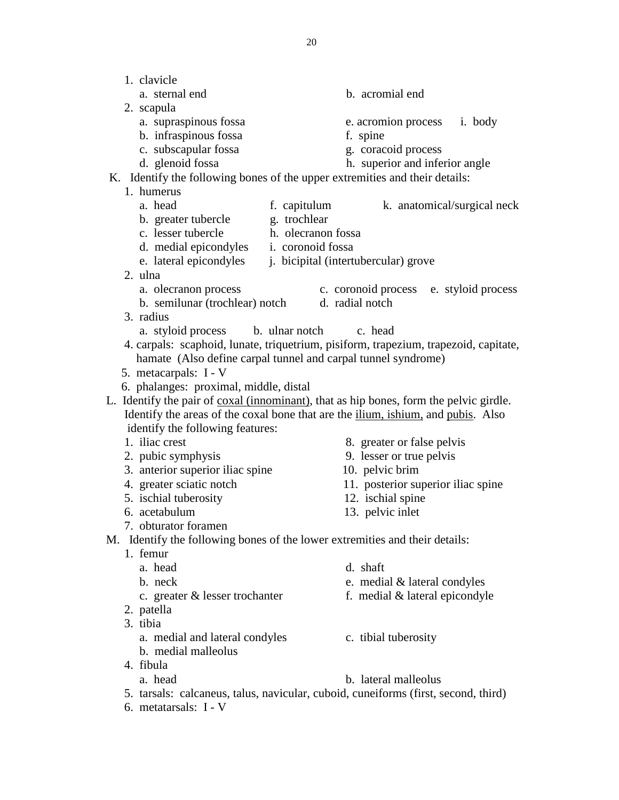1. clavicle a. sternal end b. acromial end 2. scapula a. supraspinous fossa e. acromion process i. body b. infraspinous fossa f. spine c. subscapular fossa g. coracoid process d. glenoid fossa h. superior and inferior angle K. Identify the following bones of the upper extremities and their details: 1. humerus a. head f. capitulum k. anatomical/surgical neck b. greater tubercle g. trochlear c. lesser tubercle h. olecranon fossa d. medial epicondyles i. coronoid fossa e. lateral epicondyles j. bicipital (intertubercular) grove 2. ulna a. olecranon process c. coronoid process e. styloid process b. semilunar (trochlear) notch d. radial notch 3. radius a. styloid process b. ulnar notch c. head 4. carpals: scaphoid, lunate, triquetrium, pisiform, trapezium, trapezoid, capitate, hamate (Also define carpal tunnel and carpal tunnel syndrome) 5. metacarpals: I - V 6. phalanges: proximal, middle, distal L. Identify the pair of coxal (innominant), that as hip bones, form the pelvic girdle. Identify the areas of the coxal bone that are the ilium, ishium, and pubis. Also identify the following features: 1. iliac crest 8. greater or false pelvis 2. pubic symphysis 9. lesser or true pelvis 3. anterior superior iliac spine 10. pelvic brim 4. greater sciatic notch 11. posterior superior iliac spine 5. ischial tuberosity 12. ischial spine 6. acetabulum 13. pelvic inlet 7. obturator foramen M. Identify the following bones of the lower extremities and their details: 1. femur a. head d. shaft b. neck e. medial & lateral condyles c. greater & lesser trochanter f. medial & lateral epicondyle 2. patella 3. tibia a. medial and lateral condyles c. tibial tuberosity b. medial malleolus 4. fibula a. head b. lateral malleolus 5. tarsals: calcaneus, talus, navicular, cuboid, cuneiforms (first, second, third) 6. metatarsals: I - V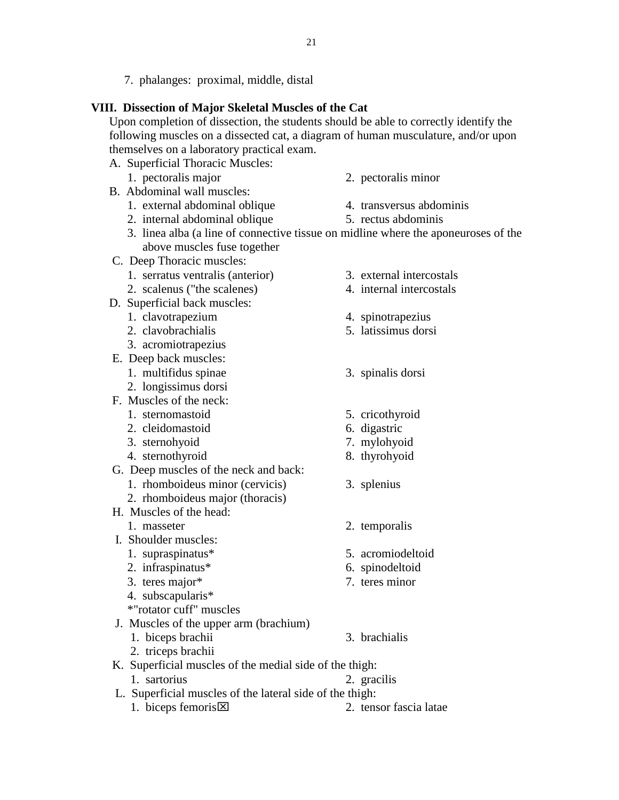7. phalanges: proximal, middle, distal

#### **VIII. Dissection of Major Skeletal Muscles of the Cat**

 Upon completion of dissection, the students should be able to correctly identify the following muscles on a dissected cat, a diagram of human musculature, and/or upon themselves on a laboratory practical exam.

- A. Superficial Thoracic Muscles:
	- 1. pectoralis major 2. pectoralis minor
- B. Abdominal wall muscles:
	- 1. external abdominal oblique 4. transversus abdominis
	- 2. internal abdominal oblique 5. rectus abdominis
	- 3. linea alba (a line of connective tissue on midline where the aponeuroses of the above muscles fuse together
- C. Deep Thoracic muscles:
	- 1. serratus ventralis (anterior) 3. external intercostals
	- 2. scalenus ("the scalenes) 4. internal intercostals
- D. Superficial back muscles:
	- 1. clavotrapezium 4. spinotrapezius
	- 2. clavobrachialis 5. latissimus dorsi
	- 3. acromiotrapezius
- E. Deep back muscles:
	- 1. multifidus spinae 3. spinalis dorsi
	- 2. longissimus dorsi
- F. Muscles of the neck:
	- 1. sternomastoid 5. cricothyroid
	- 2. cleidomastoid 6. digastric
	- 3. sternohyoid 7. mylohyoid
	- 4. sternothyroid 8. thyrohyoid
- G. Deep muscles of the neck and back:
	- 1. rhomboideus minor (cervicis) 3. splenius
	- 2. rhomboideus major (thoracis)
- H. Muscles of the head:
	-
- I. Shoulder muscles:
	-
	-
	-
	- 4. subscapularis\*
	- \*"rotator cuff" muscles
- J. Muscles of the upper arm (brachium)
	- 1. biceps brachii 3. brachialis
	- 2. triceps brachii
- K. Superficial muscles of the medial side of the thigh:
	- 1. sartorius 2. gracilis
- L. Superficial muscles of the lateral side of the thigh:
	- 1. biceps femoris  $\times$  2. tensor fascia latae
- 
- -
	-
	-
	-
	-
	-
	-
	-
	-
	-
- 1. masseter 2. temporalis
- 1. supraspinatus\* 5. acromiodeltoid
- 2. infraspinatus\* 6. spinodeltoid
- 3. teres major\* 7. teres minor

- 
-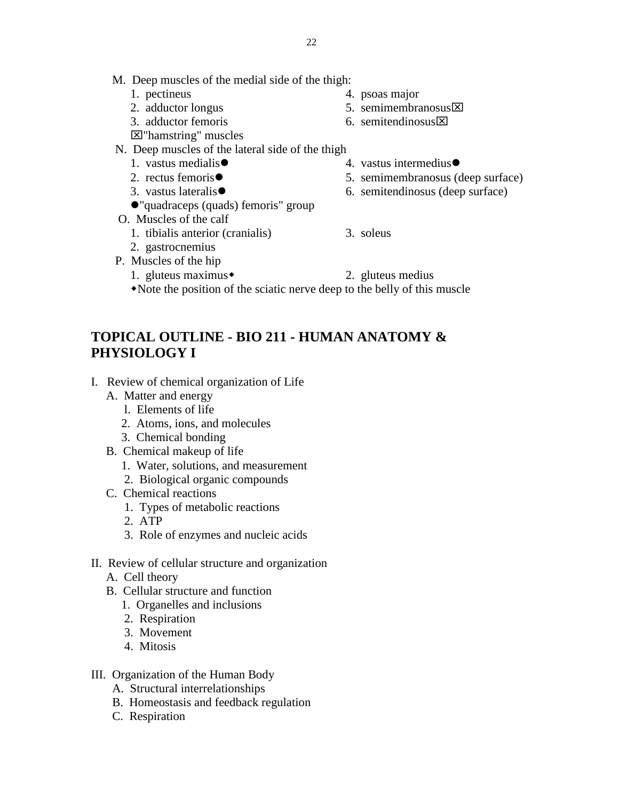- M. Deep muscles of the medial side of the thigh:
	- 1. pectineus 4. psoas major
	- 2. adductor longus 5. semimembranosus  $\boxtimes$
	- 3. adductor femoris 6. semitendinosus  $\times$
	- "hamstring" muscles
- N. Deep muscles of the lateral side of the thigh
	-
	-
	-
	- "quadraceps (quads) femoris" group
- O. Muscles of the calf
	- 1. tibialis anterior (cranialis) 3. soleus
	- 2. gastrocnemius
- P. Muscles of the hip
	- 1. gluteus maximus $\bullet$  2. gluteus medius
	- Note the position of the sciatic nerve deep to the belly of this muscle

## **TOPICAL OUTLINE - BIO 211 - HUMAN ANATOMY & PHYSIOLOGY I**

- I. Review of chemical organization of Life
	- A. Matter and energy
		- l. Elements of life
		- 2. Atoms, ions, and molecules
		- 3. Chemical bonding
	- B. Chemical makeup of life
		- 1. Water, solutions, and measurement
		- 2. Biological organic compounds
	- C. Chemical reactions
		- 1. Types of metabolic reactions
		- 2. ATP
		- 3. Role of enzymes and nucleic acids
- II. Review of cellular structure and organization
	- A. Cell theory
	- B. Cellular structure and function
		- 1. Organelles and inclusions
		- 2. Respiration
		- 3. Movement
		- 4. Mitosis
- III. Organization of the Human Body
	- A. Structural interrelationships
	- B. Homeostasis and feedback regulation
	- C. Respiration
- 1. vastus medialis (a) the set of the set of the vastus intermedius (a) the vastus intermedius ●
- 2. rectus femoris 5. semimembranosus (deep surface)
- 3. vastus lateralis 6. semitendinosus (deep surface)
	-
	-
	-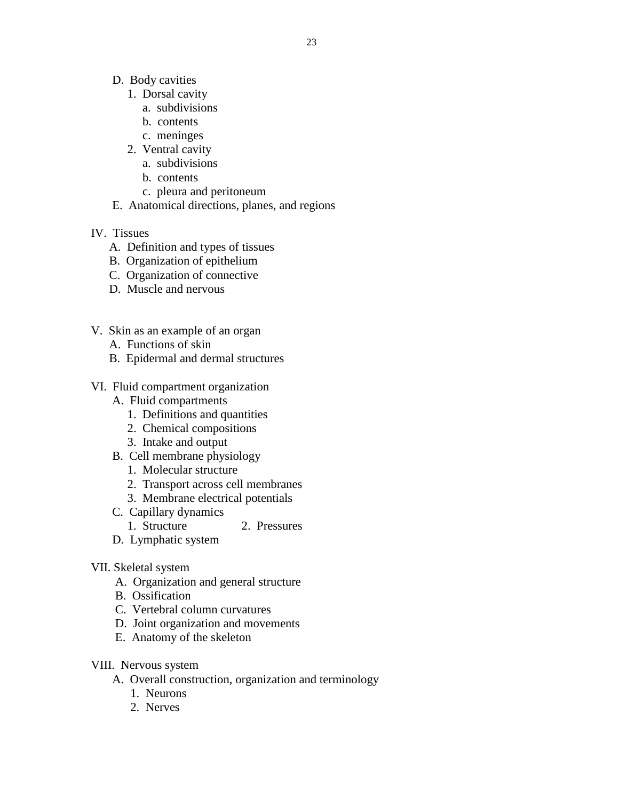- D. Body cavities
	- 1. Dorsal cavity
		- a. subdivisions
		- b. contents
		- c. meninges
	- 2. Ventral cavity
		- a. subdivisions
		- b. contents
		- c. pleura and peritoneum
- E. Anatomical directions, planes, and regions
- IV. Tissues
	- A. Definition and types of tissues
	- B. Organization of epithelium
	- C. Organization of connective
	- D. Muscle and nervous
- V. Skin as an example of an organ
	- A. Functions of skin
	- B. Epidermal and dermal structures
- VI. Fluid compartment organization
	- A. Fluid compartments
		- 1. Definitions and quantities
		- 2. Chemical compositions
		- 3. Intake and output
	- B. Cell membrane physiology
		- 1. Molecular structure
		- 2. Transport across cell membranes
		- 3. Membrane electrical potentials
	- C. Capillary dynamics
		- 1. Structure 2. Pressures
	- D. Lymphatic system
- VII. Skeletal system
	- A. Organization and general structure
	- B. Ossification
	- C. Vertebral column curvatures
	- D. Joint organization and movements
	- E. Anatomy of the skeleton
- VIII. Nervous system
	- A. Overall construction, organization and terminology
		- 1. Neurons
		- 2. Nerves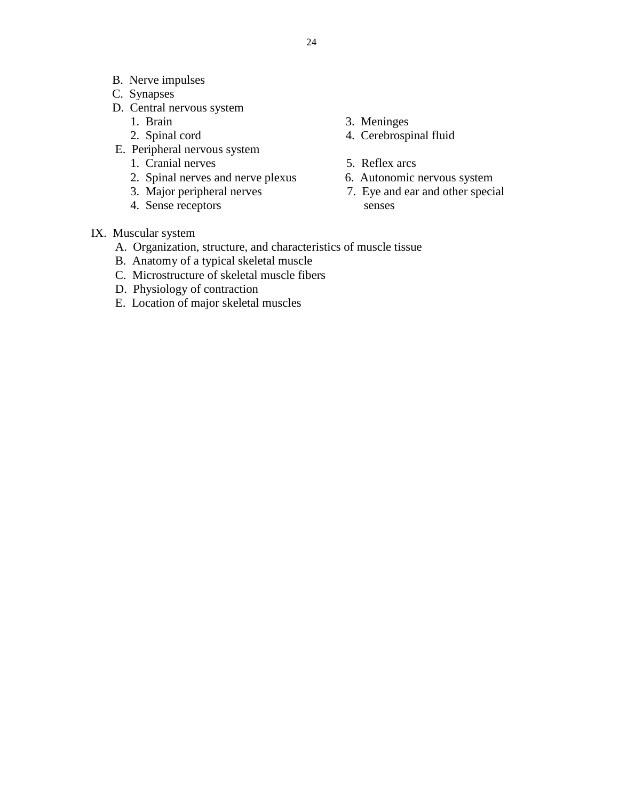- B. Nerve impulses
- C. Synapses
- D. Central nervous system
	-
	-
- E. Peripheral nervous system
	- 1. Cranial nerves 5. Reflex arcs
	- 2. Spinal nerves and nerve plexus 6. Autonomic nervous system
	-
	- 4. Sense receptors senses
- 1. Brain 3. Meninges
- 2. Spinal cord 4. Cerebrospinal fluid
	-
	-
	- 3. Major peripheral nerves 7. Eye and ear and other special
- IX. Muscular system
	- A. Organization, structure, and characteristics of muscle tissue
	- B. Anatomy of a typical skeletal muscle
	- C. Microstructure of skeletal muscle fibers
	- D. Physiology of contraction
	- E. Location of major skeletal muscles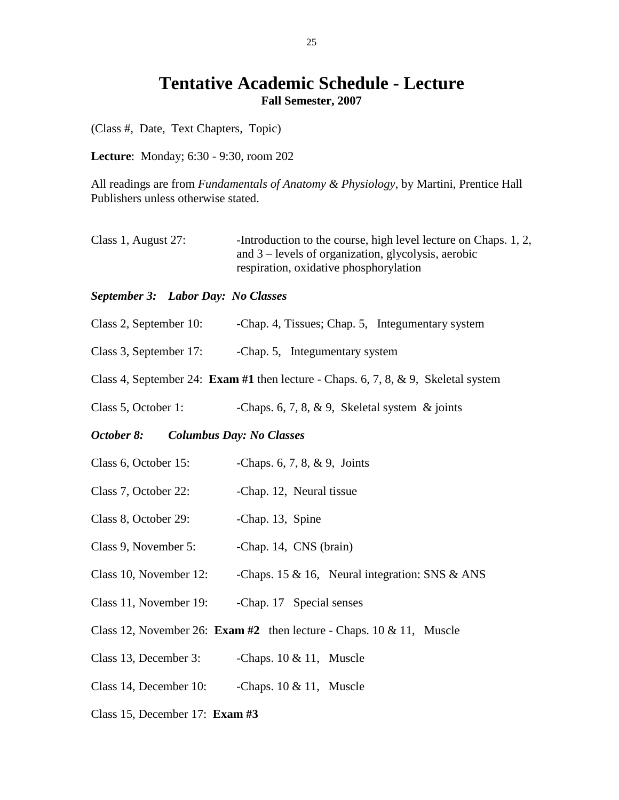## **Tentative Academic Schedule - Lecture Fall Semester, 2007**

(Class #, Date, Text Chapters, Topic)

**Lecture**: Monday; 6:30 - 9:30, room 202

All readings are from *Fundamentals of Anatomy & Physiology*, by Martini, Prentice Hall Publishers unless otherwise stated.

Class 1, August 27: - -Introduction to the course, high level lecture on Chaps. 1, 2, and 3 – levels of organization, glycolysis, aerobic respiration, oxidative phosphorylation

#### *September 3: Labor Day: No Classes*

- Class 2, September 10: Chap. 4, Tissues; Chap. 5, Integumentary system
- Class 3, September 17: -Chap. 5, Integumentary system
- Class 4, September 24: **Exam #1** then lecture Chaps. 6, 7, 8, & 9, Skeletal system
- Class 5, October 1: -Chaps. 6, 7, 8, & 9, Skeletal system & joints

#### *October 8: Columbus Day: No Classes*

- Class 6, October 15: Chaps. 6, 7, 8, & 9, Joints
- Class 7, October 22: Chap. 12, Neural tissue
- Class 8, October 29: -Chap. 13, Spine
- Class 9, November 5: -Chap. 14, CNS (brain)
- Class 10, November 12: Chaps. 15 & 16, Neural integration: SNS & ANS
- Class 11, November 19: Chap. 17 Special senses
- Class 12, November 26: **Exam #2** then lecture Chaps. 10 & 11, Muscle
- Class 13, December 3:  $\qquad \qquad$  -Chaps. 10 & 11, Muscle
- Class 14, December 10:  $\qquad$  -Chaps. 10 & 11, Muscle
- Class 15, December 17: **Exam #3**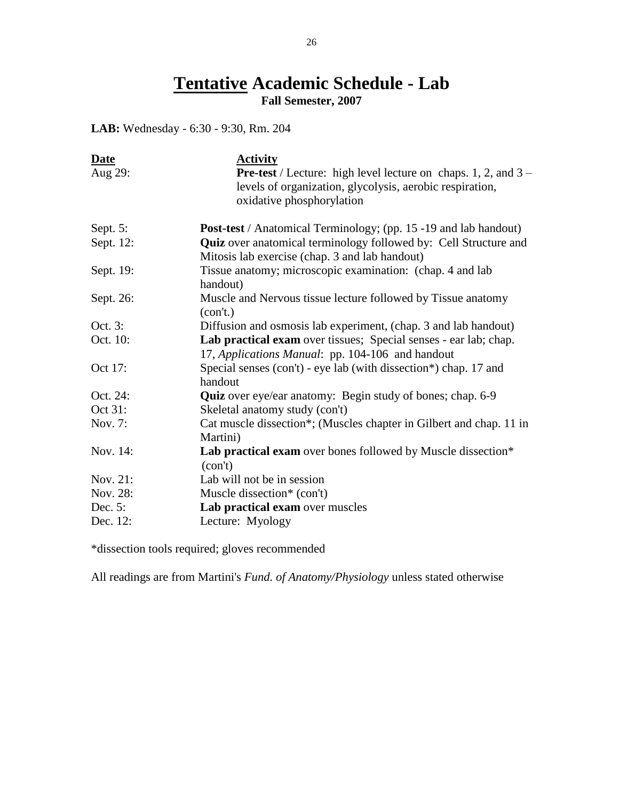## **Tentative Academic Schedule - Lab Fall Semester, 2007**

**LAB:** Wednesday - 6:30 - 9:30, Rm. 204

| <b>Date</b><br>Aug 29: | <b>Activity</b><br><b>Pre-test</b> / Lecture: high level lecture on chaps. 1, 2, and $3 -$                                |
|------------------------|---------------------------------------------------------------------------------------------------------------------------|
|                        | levels of organization, glycolysis, aerobic respiration,<br>oxidative phosphorylation                                     |
| Sept. 5:               | <b>Post-test</b> / Anatomical Terminology; (pp. 15 -19 and lab handout)                                                   |
| Sept. 12:              | <b>Quiz</b> over anatomical terminology followed by: Cell Structure and<br>Mitosis lab exercise (chap. 3 and lab handout) |
| Sept. 19:              | Tissue anatomy; microscopic examination: (chap. 4 and lab<br>handout)                                                     |
| Sept. 26:              | Muscle and Nervous tissue lecture followed by Tissue anatomy<br>(con't.)                                                  |
| Oct. 3:                | Diffusion and osmosis lab experiment, (chap. 3 and lab handout)                                                           |
| Oct. 10:               | Lab practical exam over tissues; Special senses - ear lab; chap.<br>17, Applications Manual: pp. 104-106 and handout      |
| Oct 17:                | Special senses (con't) - eye lab (with dissection*) chap. 17 and<br>handout                                               |
| Oct. 24:               | Quiz over eye/ear anatomy: Begin study of bones; chap. 6-9                                                                |
| Oct 31:                | Skeletal anatomy study (con't)                                                                                            |
| Nov. 7:                | Cat muscle dissection*; (Muscles chapter in Gilbert and chap. 11 in<br>Martini)                                           |
| Nov. 14:               | Lab practical exam over bones followed by Muscle dissection*<br>(con't)                                                   |
| Nov. 21:               | Lab will not be in session                                                                                                |
| Nov. 28:               | Muscle dissection* (con't)                                                                                                |
| Dec. 5:                | Lab practical exam over muscles                                                                                           |
| Dec. 12:               | Lecture: Myology                                                                                                          |

\*dissection tools required; gloves recommended

All readings are from Martini's *Fund. of Anatomy/Physiology* unless stated otherwise